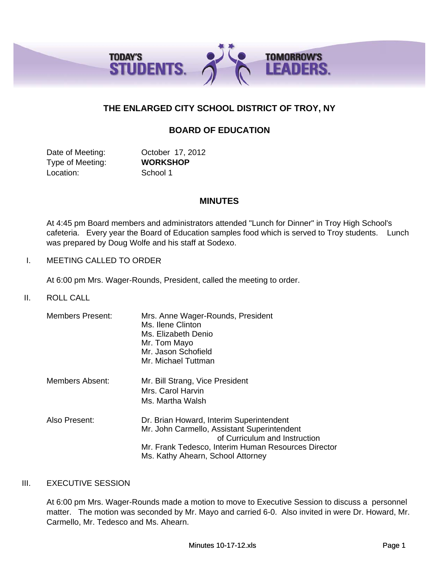

# **THE ENLARGED CITY SCHOOL DISTRICT OF TROY, NY**

# **BOARD OF EDUCATION**

Date of Meeting: Corober 17, 2012 Type of Meeting: **WORKSHOP** Location: School 1

# **MINUTES**

At 4:45 pm Board members and administrators attended "Lunch for Dinner" in Troy High School's cafeteria. Every year the Board of Education samples food which is served to Troy students. Lunch was prepared by Doug Wolfe and his staff at Sodexo.

### I. MEETING CALLED TO ORDER

At 6:00 pm Mrs. Wager-Rounds, President, called the meeting to order.

II. ROLL CALL

| Members Present: | Mrs. Anne Wager-Rounds, President<br>Ms. Ilene Clinton<br>Ms. Elizabeth Denio<br>Mr. Tom Mayo<br>Mr. Jason Schofield<br>Mr. Michael Tuttman                                                                          |
|------------------|----------------------------------------------------------------------------------------------------------------------------------------------------------------------------------------------------------------------|
| Members Absent:  | Mr. Bill Strang, Vice President<br>Mrs. Carol Harvin<br>Ms. Martha Walsh                                                                                                                                             |
| Also Present:    | Dr. Brian Howard, Interim Superintendent<br>Mr. John Carmello, Assistant Superintendent<br>of Curriculum and Instruction<br>Mr. Frank Tedesco, Interim Human Resources Director<br>Ms. Kathy Ahearn, School Attorney |

### III. EXECUTIVE SESSION

At 6:00 pm Mrs. Wager-Rounds made a motion to move to Executive Session to discuss a personnel matter. The motion was seconded by Mr. Mayo and carried 6-0. Also invited in were Dr. Howard, Mr. Carmello, Mr. Tedesco and Ms. Ahearn.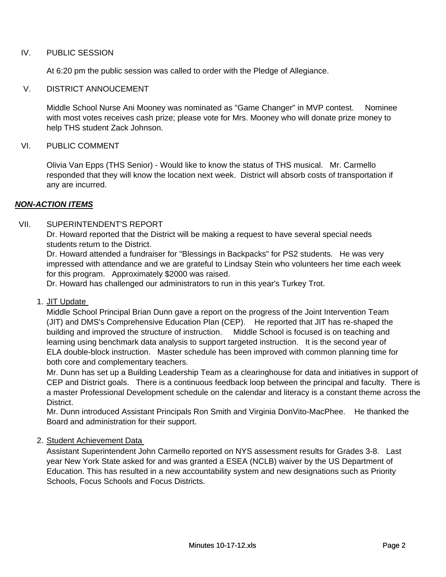### IV. PUBLIC SESSION

At 6:20 pm the public session was called to order with the Pledge of Allegiance.

# V. DISTRICT ANNOUCEMENT

Middle School Nurse Ani Mooney was nominated as "Game Changer" in MVP contest. Nominee with most votes receives cash prize; please vote for Mrs. Mooney who will donate prize money to help THS student Zack Johnson.

### VI. PUBLIC COMMENT

Olivia Van Epps (THS Senior) - Would like to know the status of THS musical. Mr. Carmello responded that they will know the location next week. District will absorb costs of transportation if any are incurred.

### *NON-ACTION ITEMS*

# VII. SUPERINTENDENT'S REPORT

Dr. Howard reported that the District will be making a request to have several special needs students return to the District.

Dr. Howard attended a fundraiser for "Blessings in Backpacks" for PS2 students. He was very impressed with attendance and we are grateful to Lindsay Stein who volunteers her time each week for this program. Approximately \$2000 was raised.

Dr. Howard has challenged our administrators to run in this year's Turkey Trot.

### 1. JIT Update

Middle School Principal Brian Dunn gave a report on the progress of the Joint Intervention Team (JIT) and DMS's Comprehensive Education Plan (CEP). He reported that JIT has re-shaped the building and improved the structure of instruction. Middle School is focused is on teaching and learning using benchmark data analysis to support targeted instruction. It is the second year of ELA double-block instruction. Master schedule has been improved with common planning time for both core and complementary teachers.

Mr. Dunn has set up a Building Leadership Team as a clearinghouse for data and initiatives in support of CEP and District goals. There is a continuous feedback loop between the principal and faculty. There is a master Professional Development schedule on the calendar and literacy is a constant theme across the District.

Mr. Dunn introduced Assistant Principals Ron Smith and Virginia DonVito-MacPhee. He thanked the Board and administration for their support.

### 2. Student Achievement Data

Assistant Superintendent John Carmello reported on NYS assessment results for Grades 3-8. Last year New York State asked for and was granted a ESEA (NCLB) waiver by the US Department of Education. This has resulted in a new accountability system and new designations such as Priority Schools, Focus Schools and Focus Districts.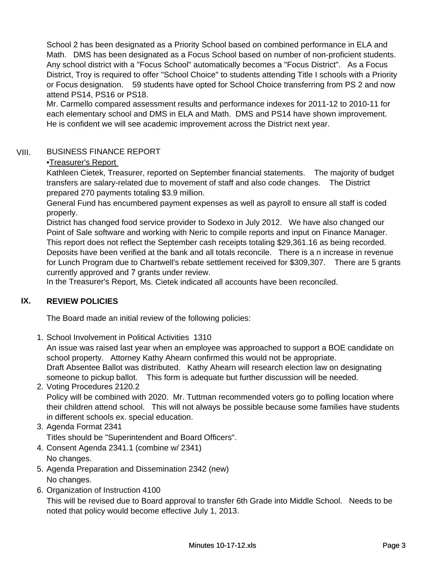School 2 has been designated as a Priority School based on combined performance in ELA and Math. DMS has been designated as a Focus School based on number of non-proficient students. Any school district with a "Focus School" automatically becomes a "Focus District". As a Focus District, Troy is required to offer "School Choice" to students attending Title I schools with a Priority or Focus designation. 59 students have opted for School Choice transferring from PS 2 and now attend PS14, PS16 or PS18.

Mr. Carmello compared assessment results and performance indexes for 2011-12 to 2010-11 for each elementary school and DMS in ELA and Math. DMS and PS14 have shown improvement. He is confident we will see academic improvement across the District next year.

#### VIII. BUSINESS FINANCE REPORT

# •Treasurer's Report

Kathleen Cietek, Treasurer, reported on September financial statements. The majority of budget transfers are salary-related due to movement of staff and also code changes. The District prepared 270 payments totaling \$3.9 million.

General Fund has encumbered payment expenses as well as payroll to ensure all staff is coded properly.

District has changed food service provider to Sodexo in July 2012. We have also changed our Point of Sale software and working with Neric to compile reports and input on Finance Manager. This report does not reflect the September cash receipts totaling \$29,361.16 as being recorded. Deposits have been verified at the bank and all totals reconcile. There is a n increase in revenue for Lunch Program due to Chartwell's rebate settlement received for \$309,307. There are 5 grants currently approved and 7 grants under review.

In the Treasurer's Report, Ms. Cietek indicated all accounts have been reconciled.

#### **IX. REVIEW POLICIES**

The Board made an initial review of the following policies:

1. School Involvement in Political Activities 1310

An issue was raised last year when an employee was approached to support a BOE candidate on school property. Attorney Kathy Ahearn confirmed this would not be appropriate. Draft Absentee Ballot was distributed. Kathy Ahearn will research election law on designating someone to pickup ballot. This form is adequate but further discussion will be needed.

# 2. Voting Procedures 2120.2

Policy will be combined with 2020. Mr. Tuttman recommended voters go to polling location where their children attend school. This will not always be possible because some families have students in different schools ex. special education.

3. Agenda Format 2341

Titles should be "Superintendent and Board Officers".

- 4. Consent Agenda 2341.1 (combine w/ 2341) No changes.
- 5. Agenda Preparation and Dissemination 2342 (new) No changes.
- 6. Organization of Instruction 4100

This will be revised due to Board approval to transfer 6th Grade into Middle School. Needs to be noted that policy would become effective July 1, 2013.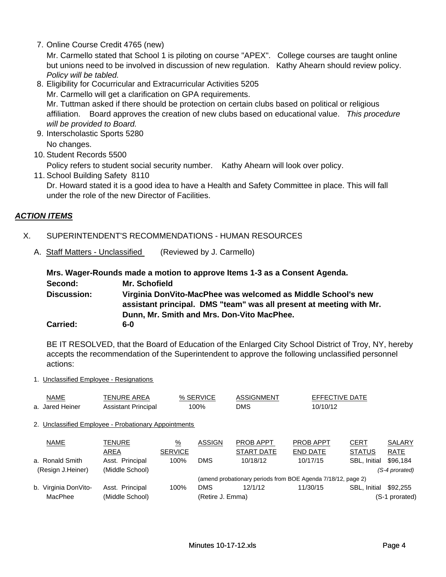7. Online Course Credit 4765 (new)

Mr. Carmello stated that School 1 is piloting on course "APEX". College courses are taught online but unions need to be involved in discussion of new regulation. Kathy Ahearn should review policy. *Policy will be tabled.*

- 8. Eligibility for Cocurricular and Extracurricular Activities 5205 Mr. Carmello will get a clarification on GPA requirements. Mr. Tuttman asked if there should be protection on certain clubs based on political or religious affiliation. Board approves the creation of new clubs based on educational value. *This procedure will be provided to Board.*
- 9. Interscholastic Sports 5280 No changes.
- 10. Student Records 5500

Policy refers to student social security number. Kathy Ahearn will look over policy.

11. School Building Safety 8110

Dr. Howard stated it is a good idea to have a Health and Safety Committee in place. This will fall under the role of the new Director of Facilities.

# *ACTION ITEMS*

- X. SUPERINTENDENT'S RECOMMENDATIONS HUMAN RESOURCES
	- A. Staff Matters Unclassified (Reviewed by J. Carmello)

Mrs. Wager-Rounds made a motion to approve Items 1-3 as a Consent Agenda. **Mr. Schofield Discussion: Second: Carried: 6-0 Virginia DonVito-MacPhee was welcomed as Middle School's new assistant principal. DMS "team" was all present at meeting with Mr. Dunn, Mr. Smith and Mrs. Don-Vito MacPhee.**

BE IT RESOLVED, that the Board of Education of the Enlarged City School District of Troy, NY, hereby accepts the recommendation of the Superintendent to approve the following unclassified personnel actions:

1. Unclassified Employee - Resignations

| NAME            | TENURE AREA         | % SERVICE | ASSIGNMENT | EFFECTIVE DATE |
|-----------------|---------------------|-----------|------------|----------------|
| a. Jared Heiner | Assistant Principal | 100%      | DMS        | 10/10/12       |

### 2. Unclassified Employee - Probationary Appointments

| <b>NAME</b>          | <b>TENURE</b>   | %              | <b>ASSIGN</b>    | <b>PROB APPT</b>                                             | <b>PROB APPT</b> | CERT          | <b>SALARY</b>  |
|----------------------|-----------------|----------------|------------------|--------------------------------------------------------------|------------------|---------------|----------------|
|                      | AREA            | <b>SERVICE</b> |                  | START DATE                                                   | <b>END DATE</b>  | <b>STATUS</b> | <b>RATE</b>    |
| a. Ronald Smith      | Asst. Principal | 100%           | <b>DMS</b>       | 10/18/12                                                     | 10/17/15         | SBL. Initial  | \$96,184       |
| (Resign J.Heiner)    | (Middle School) |                |                  |                                                              |                  |               | (S-4 prorated) |
|                      |                 |                |                  | (amend probationary periods from BOE Agenda 7/18/12, page 2) |                  |               |                |
| b. Virginia DonVito- | Asst. Principal | 100%           | <b>DMS</b>       | 12/1/12                                                      | 11/30/15         | SBL. Initial  | \$92,255       |
| MacPhee              | (Middle School) |                | (Retire J. Emma) |                                                              |                  |               | (S-1 prorated) |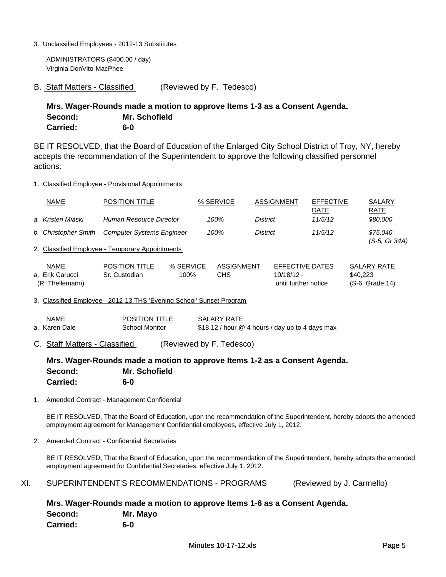### 3. Unclassified Employees - 2012-13 Substitutes

ADMINISTRATORS (\$400.00 / day) Virginia DonVito-MacPhee

B. Staff Matters - Classified (Reviewed by F. Tedesco)

**Mrs. Wager-Rounds made a motion to approve Items 1-3 as a Consent Agenda. Second: Mr. Schofield Carried: 6-0** 

BE IT RESOLVED, that the Board of Education of the Enlarged City School District of Troy, NY, hereby accepts the recommendation of the Superintendent to approve the following classified personnel actions:

1. Classified Employee - Provisional Appointments

| <b>NAME</b>          | <b>POSITION TITLE</b>                           |           | % SERVICE         |                 | <b>ASSIGNMENT</b> | <b>EFFECTIVE</b> | <b>SALARY</b>             |
|----------------------|-------------------------------------------------|-----------|-------------------|-----------------|-------------------|------------------|---------------------------|
|                      |                                                 |           |                   |                 | DATE              |                  | RATE                      |
| a. Kristen Miaski    | Human Resource Director                         |           | 100%              | <b>District</b> | 11/5/12           |                  | \$80,000                  |
| b. Christopher Smith | <b>Computer Systems Engineer</b>                |           | 100%              | <b>District</b> | 11/5/12           |                  | \$75.040<br>(S-5, Gr 34A) |
|                      | 2. Classified Employee - Temporary Appointments |           |                   |                 |                   |                  |                           |
| <b>NAME</b>          | POSITION TITLE                                  | % SERVICE | <b>ASSIGNMENT</b> |                 | EFFECTIVE DATES   |                  | <b>SALARY RATE</b>        |
| a. Erik Carucci      | Sr. Custodian                                   | 100%      | CHS               |                 | $10/18/12 -$      | \$40,223         |                           |

(R. Theilemann) until further notice (S-6, Grade 14)

3. Classified Employee - 2012-13 THS 'Evening School' Sunset Program

| NAME          | <b>POSITION TITLE</b> | SALARY RATE                                        |
|---------------|-----------------------|----------------------------------------------------|
| a. Karen Dale | School Monitor        | $$18.12$ / hour $@$ 4 hours / day up to 4 days max |

C. Staff Matters - Classified (Reviewed by F. Tedesco)

**Mrs. Wager-Rounds made a motion to approve Items 1-2 as a Consent Agenda. Carried: 6-0 Second: Mr. Schofield**

### 1. Amended Contract - Management Confidential

BE IT RESOLVED, That the Board of Education, upon the recommendation of the Superintendent, hereby adopts the amended employment agreement for Management Confidential employees, effective July 1, 2012.

2. Amended Contract - Confidential Secretaries

BE IT RESOLVED, That the Board of Education, upon the recommendation of the Superintendent, hereby adopts the amended employment agreement for Confidential Secretaries, effective July 1, 2012.

| SUPERINTENDENT'S RECOMMENDATIONS - PROGRAMS<br>XI. | (Reviewed by J. Carmello) |
|----------------------------------------------------|---------------------------|
|----------------------------------------------------|---------------------------|

**Mrs. Wager-Rounds made a motion to approve Items 1-6 as a Consent Agenda. Second: Mr. Mayo Carried: 6-0**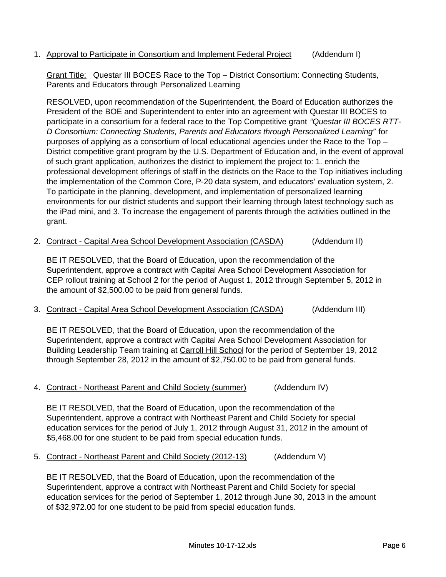# 1. Approval to Participate in Consortium and Implement Federal Project (Addendum I)

Grant Title: Questar III BOCES Race to the Top – District Consortium: Connecting Students, Parents and Educators through Personalized Learning

RESOLVED, upon recommendation of the Superintendent, the Board of Education authorizes the President of the BOE and Superintendent to enter into an agreement with Questar III BOCES to participate in a consortium for a federal race to the Top Competitive grant *"Questar III BOCES RTT-D Consortium: Connecting Students, Parents and Educators through Personalized Learning"* for purposes of applying as a consortium of local educational agencies under the Race to the Top – District competitive grant program by the U.S. Department of Education and, in the event of approval of such grant application, authorizes the district to implement the project to: 1. enrich the professional development offerings of staff in the districts on the Race to the Top initiatives including the implementation of the Common Core, P-20 data system, and educators' evaluation system, 2. To participate in the planning, development, and implementation of personalized learning environments for our district students and support their learning through latest technology such as the iPad mini, and 3. To increase the engagement of parents through the activities outlined in the grant.

2. Contract - Capital Area School Development Association (CASDA) (Addendum II)

BE IT RESOLVED, that the Board of Education, upon the recommendation of the Superintendent, approve a contract with Capital Area School Development Association for CEP rollout training at School 2 for the period of August 1, 2012 through September 5, 2012 in the amount of \$2,500.00 to be paid from general funds.

3. Contract - Capital Area School Development Association (CASDA) (Addendum III)

BE IT RESOLVED, that the Board of Education, upon the recommendation of the Superintendent, approve a contract with Capital Area School Development Association for Building Leadership Team training at Carroll Hill School for the period of September 19, 2012 through September 28, 2012 in the amount of \$2,750.00 to be paid from general funds.

4. Contract - Northeast Parent and Child Society (summer) (Addendum IV)

BE IT RESOLVED, that the Board of Education, upon the recommendation of the Superintendent, approve a contract with Northeast Parent and Child Society for special education services for the period of July 1, 2012 through August 31, 2012 in the amount of \$5,468.00 for one student to be paid from special education funds.

5. Contract - Northeast Parent and Child Society (2012-13) (Addendum V)

BE IT RESOLVED, that the Board of Education, upon the recommendation of the Superintendent, approve a contract with Northeast Parent and Child Society for special education services for the period of September 1, 2012 through June 30, 2013 in the amount of \$32,972.00 for one student to be paid from special education funds.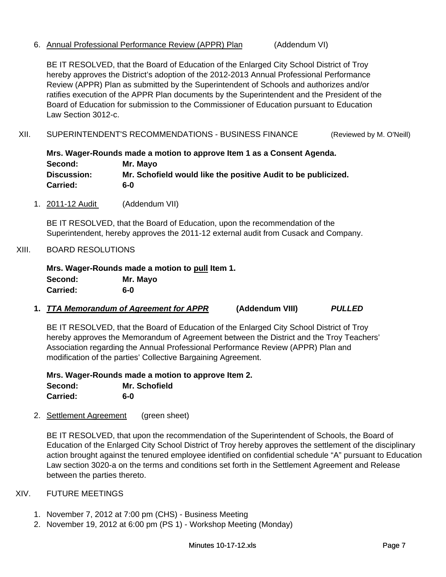# 6. Annual Professional Performance Review (APPR) Plan (Addendum VI)

BE IT RESOLVED, that the Board of Education of the Enlarged City School District of Troy hereby approves the District's adoption of the 2012-2013 Annual Professional Performance Review (APPR) Plan as submitted by the Superintendent of Schools and authorizes and/or ratifies execution of the APPR Plan documents by the Superintendent and the President of the Board of Education for submission to the Commissioner of Education pursuant to Education Law Section 3012-c.

XII. SUPERINTENDENT'S RECOMMENDATIONS - BUSINESS FINANCE (Reviewed by M. O'Neill)

**Mrs. Wager-Rounds made a motion to approve Item 1 as a Consent Agenda. 6-0 Second: Mr. Mayo Discussion: Mr. Schofield would like the positive Audit to be publicized. Carried:**

1. 2011-12 Audit (Addendum VII)

BE IT RESOLVED, that the Board of Education, upon the recommendation of the Superintendent, hereby approves the 2011-12 external audit from Cusack and Company.

# XIII. BOARD RESOLUTIONS

**Mrs. Wager-Rounds made a motion to pull Item 1. Wager-Rounds made a motion Item Second: Mr. Mayo Carried: 6-0** 

**1.** *TTA Memorandum of Agreement for APPR PULLED* **(Addendum VIII)**

BE IT RESOLVED, that the Board of Education of the Enlarged City School District of Troy hereby approves the Memorandum of Agreement between the District and the Troy Teachers' Association regarding the Annual Professional Performance Review (APPR) Plan and modification of the parties' Collective Bargaining Agreement.

**Mrs. Wager-Rounds made a motion to approve Item 2. Second: Mr. Schofield Carried: 6-0** 

# 2. Settlement Agreement (green sheet)

BE IT RESOLVED, that upon the recommendation of the Superintendent of Schools, the Board of Education of the Enlarged City School District of Troy hereby approves the settlement of the disciplinary action brought against the tenured employee identified on confidential schedule "A" pursuant to Education Law section 3020-a on the terms and conditions set forth in the Settlement Agreement and Release between the parties thereto.

# XIV. FUTURE MEETINGS

- 1. November 7, 2012 at 7:00 pm (CHS) Business Meeting
- 2. November 19, 2012 at 6:00 pm (PS 1) Workshop Meeting (Monday)